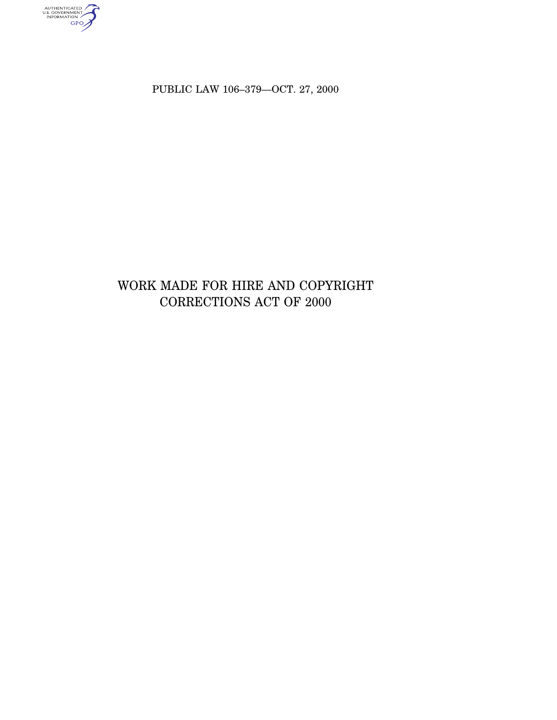AUTHENTICATED<br>U.S. GOVERNMENT<br>INFORMATION<br>GPO

PUBLIC LAW 106–379—OCT. 27, 2000

# WORK MADE FOR HIRE AND COPYRIGHT CORRECTIONS ACT OF 2000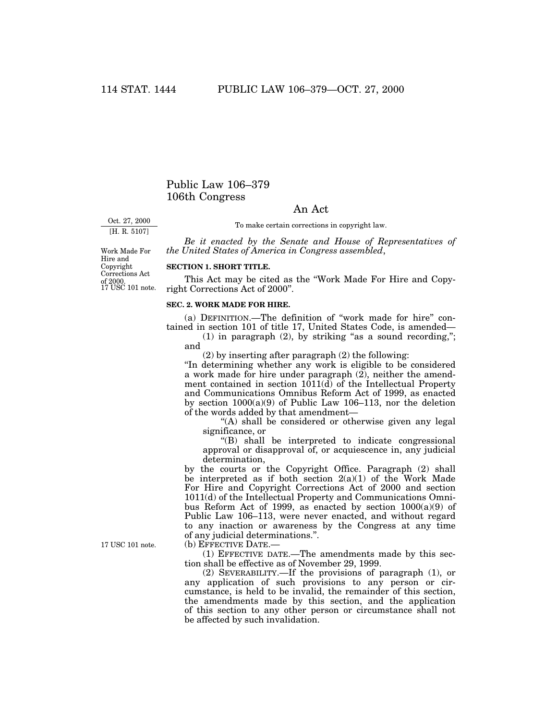# Public Law 106–379 106th Congress

## An Act

Oct. 27, 2000 [H. R. 5107]

To make certain corrections in copyright law.

*Be it enacted by the Senate and House of Representatives of the United States of America in Congress assembled*,

of 2000.<br>17 USC 101 note. Work Made For Hire and Copyright Corrections Act

#### **SECTION 1. SHORT TITLE.**

This Act may be cited as the ''Work Made For Hire and Copyright Corrections Act of 2000''.

#### **SEC. 2. WORK MADE FOR HIRE.**

(a) DEFINITION.—The definition of ''work made for hire'' contained in section 101 of title 17, United States Code, is amended—

(1) in paragraph  $(2)$ , by striking "as a sound recording,"; and

(2) by inserting after paragraph (2) the following:

''In determining whether any work is eligible to be considered a work made for hire under paragraph (2), neither the amendment contained in section 1011(d) of the Intellectual Property and Communications Omnibus Reform Act of 1999, as enacted by section  $1000(a)(9)$  of Public Law 106–113, nor the deletion of the words added by that amendment—

"(A) shall be considered or otherwise given any legal significance, or

''(B) shall be interpreted to indicate congressional approval or disapproval of, or acquiescence in, any judicial determination,

by the courts or the Copyright Office. Paragraph (2) shall be interpreted as if both section  $2(a)(1)$  of the Work Made For Hire and Copyright Corrections Act of 2000 and section 1011(d) of the Intellectual Property and Communications Omnibus Reform Act of 1999, as enacted by section  $1000(a)(9)$  of Public Law 106–113, were never enacted, and without regard to any inaction or awareness by the Congress at any time of any judicial determinations.''.

(b) EFFECTIVE DATE.—

(1) EFFECTIVE DATE.—The amendments made by this section shall be effective as of November 29, 1999.

(2) SEVERABILITY.—If the provisions of paragraph (1), or any application of such provisions to any person or circumstance, is held to be invalid, the remainder of this section, the amendments made by this section, and the application of this section to any other person or circumstance shall not be affected by such invalidation.

17 USC 101 note.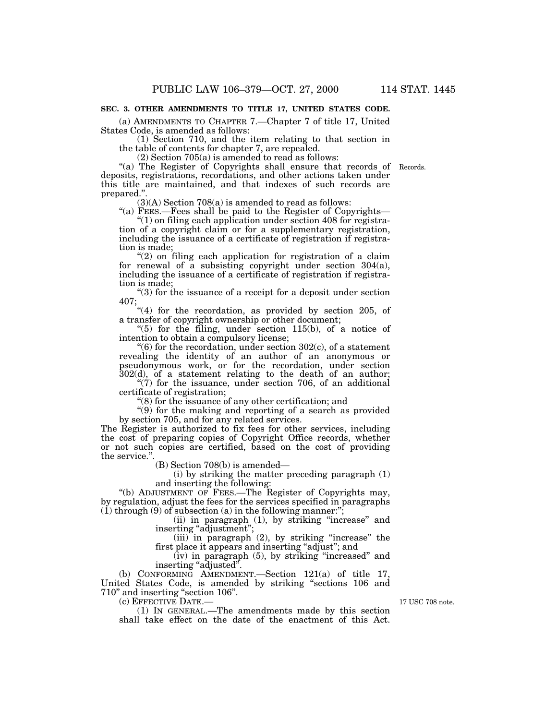### **SEC. 3. OTHER AMENDMENTS TO TITLE 17, UNITED STATES CODE.**

(a) AMENDMENTS TO CHAPTER 7.—Chapter 7 of title 17, United States Code, is amended as follows:

(1) Section 710, and the item relating to that section in the table of contents for chapter 7, are repealed.

(2) Section 705(a) is amended to read as follows:

"(a) The Register of Copyrights shall ensure that records of Records. deposits, registrations, recordations, and other actions taken under this title are maintained, and that indexes of such records are prepared."

 $(3)(A)$  Section 708 $(a)$  is amended to read as follows:

''(a) FEES.—Fees shall be paid to the Register of Copyrights— " $(1)$  on filing each application under section 408 for registration of a copyright claim or for a supplementary registration, including the issuance of a certificate of registration if registration is made;

 $(2)$  on filing each application for registration of a claim for renewal of a subsisting copyright under section 304(a), including the issuance of a certificate of registration if registration is made;

''(3) for the issuance of a receipt for a deposit under section 407;

"(4) for the recordation, as provided by section 205, of a transfer of copyright ownership or other document;

" $(5)$  for the filing, under section 115 $(b)$ , of a notice of intention to obtain a compulsory license;

 $(6)$  for the recordation, under section 302 $(c)$ , of a statement revealing the identity of an author of an anonymous or pseudonymous work, or for the recordation, under section 302(d), of a statement relating to the death of an author;

" $(7)$  for the issuance, under section 706, of an additional certificate of registration;

''(8) for the issuance of any other certification; and

 $'(9)$  for the making and reporting of a search as provided by section 705, and for any related services.

The Register is authorized to fix fees for other services, including the cost of preparing copies of Copyright Office records, whether or not such copies are certified, based on the cost of providing the service.''.

(B) Section 708(b) is amended—

(i) by striking the matter preceding paragraph (1) and inserting the following:

''(b) ADJUSTMENT OF FEES.—The Register of Copyrights may, by regulation, adjust the fees for the services specified in paragraphs  $(1)$  through  $(9)$  of subsection  $(a)$  in the following manner:";

(ii) in paragraph (1), by striking ''increase'' and inserting "adjustment";

(iii) in paragraph (2), by striking "increase" the first place it appears and inserting ''adjust''; and

(iv) in paragraph (5), by striking ''increased'' and inserting "adjusted".

(b) CONFORMING AMENDMENT.—Section 121(a) of title 17, United States Code, is amended by striking ''sections 106 and 710'' and inserting ''section 106''.

(c) EFFECTIVE DATE.—

(1) IN GENERAL.—The amendments made by this section shall take effect on the date of the enactment of this Act.

17 USC 708 note.